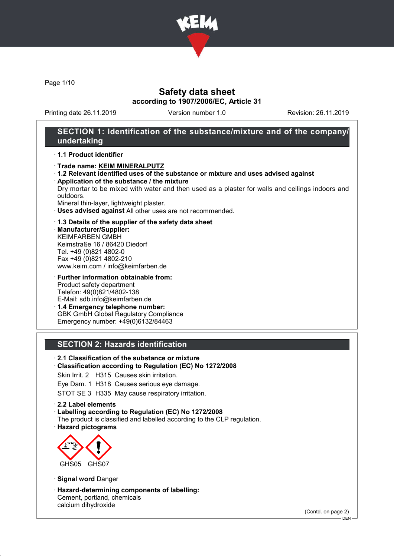

Page 1/10

### Safety data sheet according to 1907/2006/EC, Article 31

Printing date 26.11.2019 Version number 1.0 Revision: 26.11.2019

### SECTION 1: Identification of the substance/mixture and of the company/ undertaking

#### · 1.1 Product identifier

- · Trade name: KEIM MINERALPUTZ
- · 1.2 Relevant identified uses of the substance or mixture and uses advised against
- · Application of the substance / the mixture Dry mortar to be mixed with water and then used as a plaster for walls and ceilings indoors and outdoors.

Mineral thin-layer, lightweight plaster.

- · Uses advised against All other uses are not recommended.
- · 1.3 Details of the supplier of the safety data sheet
- · Manufacturer/Supplier: KEIMFARBEN GMBH Keimstraße 16 / 86420 Diedorf Tel. +49 (0)821 4802-0 Fax +49 (0)821 4802-210 www.keim.com / info@keimfarben.de
- · Further information obtainable from: Product safety department Telefon: 49(0)821/4802-138 E-Mail: sdb.info@keimfarben.de · 1.4 Emergency telephone number: GBK GmbH Global Regulatory Compliance

Emergency number: +49(0)6132/84463

### SECTION 2: Hazards identification

· 2.1 Classification of the substance or mixture

- · Classification according to Regulation (EC) No 1272/2008
- Skin Irrit. 2 H315 Causes skin irritation.

Eye Dam. 1 H318 Causes serious eye damage.

STOT SE 3 H335 May cause respiratory irritation.

· 2.2 Label elements

- · Labelling according to Regulation (EC) No 1272/2008
- The product is classified and labelled according to the CLP regulation.
- · Hazard pictograms



· Signal word Danger

· Hazard-determining components of labelling: Cement, portland, chemicals calcium dihydroxide

(Contd. on page 2)

 $-$  DEN -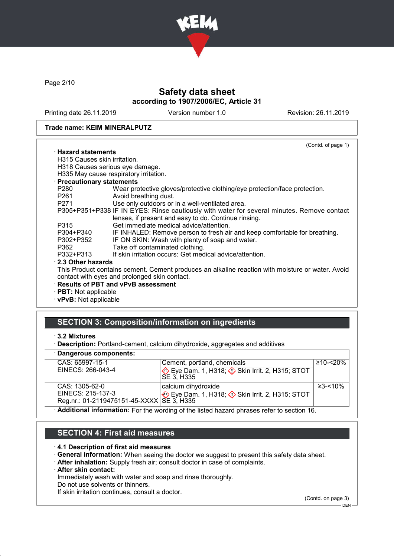

Page 2/10

# Safety data sheet according to 1907/2006/EC, Article 31

Printing date 26.11.2019 Version number 1.0 Revision: 26.11.2019

#### Trade name: KEIM MINERALPUTZ

|                              | (Contd. of page 1)                                                                               |
|------------------------------|--------------------------------------------------------------------------------------------------|
| $\cdot$ Hazard statements    |                                                                                                  |
| H315 Causes skin irritation. |                                                                                                  |
|                              | H318 Causes serious eye damage.                                                                  |
|                              | H335 May cause respiratory irritation.                                                           |
| · Precautionary statements   |                                                                                                  |
| P280                         | Wear protective gloves/protective clothing/eye protection/face protection.                       |
| P261 <b>P26</b>              | Avoid breathing dust.                                                                            |
| P271 and the P271            | Use only outdoors or in a well-ventilated area.                                                  |
|                              | P305+P351+P338 IF IN EYES: Rinse cautiously with water for several minutes. Remove contact       |
|                              | lenses, if present and easy to do. Continue rinsing.                                             |
| P315                         | Get immediate medical advice/attention.                                                          |
| P304+P340                    | IF INHALED: Remove person to fresh air and keep comfortable for breathing.                       |
| P302+P352                    | IF ON SKIN: Wash with plenty of soap and water.                                                  |
| P362                         | Take off contaminated clothing.                                                                  |
| P332+P313                    | If skin irritation occurs: Get medical advice/attention.                                         |
| 2.3 Other hazards            |                                                                                                  |
|                              | This Product contains cement. Cement produces an alkaline reaction with moisture or water. Avoid |
|                              | contact with eyes and prolonged skin contact.                                                    |
|                              | · Results of PBT and vPvB assessment                                                             |
| · PBT: Not applicable        |                                                                                                  |
| $\cdot$ vPvB: Not applicable |                                                                                                  |
|                              |                                                                                                  |

# SECTION 3: Composition/information on ingredients

<sup>·</sup> Description: Portland-cement, calcium dihydroxide, aggregates and additives

|  | · Dangerous components: |
|--|-------------------------|
|--|-------------------------|

| CAS: 65997-15-1                                                                           | Cement, portland, chemicals                                          | $≥10-≤20%$  |  |
|-------------------------------------------------------------------------------------------|----------------------------------------------------------------------|-------------|--|
| EINECS: 266-043-4                                                                         | Eye Dam. 1, H318; $\Diamond$ Skin Irrit. 2, H315; STOT<br>SE 3, H335 |             |  |
| CAS: 1305-62-0                                                                            | calcium dihydroxide                                                  | $≥3 - <10%$ |  |
| EINECS: 215-137-3                                                                         | Eye Dam. 1, H318; $\Diamond$ Skin Irrit. 2, H315; STOT               |             |  |
| Reg.nr.: 01-2119475151-45-XXXX SE 3, H335                                                 |                                                                      |             |  |
| Additional information: For the wording of the listed hazard phrases refer to section 16. |                                                                      |             |  |

### SECTION 4: First aid measures

#### · 4.1 Description of first aid measures

- · General information: When seeing the doctor we suggest to present this safety data sheet.
- · After inhalation: Supply fresh air; consult doctor in case of complaints.
- · After skin contact:

Immediately wash with water and soap and rinse thoroughly.

Do not use solvents or thinners.

If skin irritation continues, consult a doctor.

(Contd. on page 3)

<sup>·</sup> 3.2 Mixtures

 $-$  DEN  $-$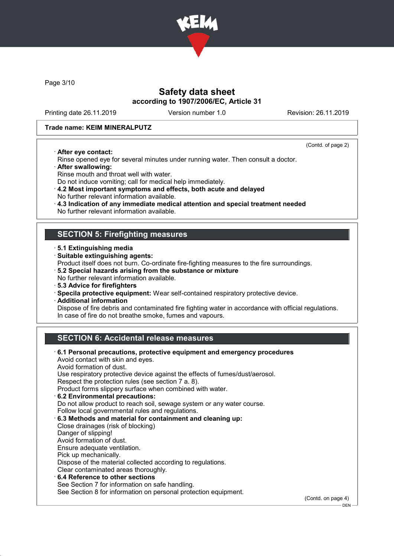

Page 3/10

## Safety data sheet according to 1907/2006/EC, Article 31

Printing date 26.11.2019 Version number 1.0 Revision: 26.11.2019

#### Trade name: KEIM MINERALPUTZ

· After eye contact:

(Contd. of page 2)

– DEN -

- Rinse opened eye for several minutes under running water. Then consult a doctor.
- · After swallowing:
- Rinse mouth and throat well with water.
- Do not induce vomiting; call for medical help immediately.
- · 4.2 Most important symptoms and effects, both acute and delayed No further relevant information available.
- · 4.3 Indication of any immediate medical attention and special treatment needed
- No further relevant information available.

### SECTION 5: Firefighting measures

- · 5.1 Extinguishing media
- · Suitable extinguishing agents:
- Product itself does not burn. Co-ordinate fire-fighting measures to the fire surroundings.
- · 5.2 Special hazards arising from the substance or mixture
- No further relevant information available.
- · 5.3 Advice for firefighters
- · Specila protective equipment: Wear self-contained respiratory protective device.
- · Additional information

Dispose of fire debris and contaminated fire fighting water in accordance with official regulations. In case of fire do not breathe smoke, fumes and vapours.

# SECTION 6: Accidental release measures

| $\cdot$ 6.1 Personal precautions, protective equipment and emergency procedures<br>Avoid contact with skin and eyes. |                    |
|----------------------------------------------------------------------------------------------------------------------|--------------------|
| Avoid formation of dust.                                                                                             |                    |
| Use respiratory protective device against the effects of fumes/dust/aerosol.                                         |                    |
| Respect the protection rules (see section 7 a. 8).                                                                   |                    |
| Product forms slippery surface when combined with water.                                                             |                    |
| 6.2 Environmental precautions:                                                                                       |                    |
| Do not allow product to reach soil, sewage system or any water course.                                               |                    |
| Follow local governmental rules and regulations.                                                                     |                    |
| 6.3 Methods and material for containment and cleaning up:                                                            |                    |
| Close drainages (risk of blocking)                                                                                   |                    |
| Danger of slipping!                                                                                                  |                    |
| Avoid formation of dust.                                                                                             |                    |
| Ensure adequate ventilation.                                                                                         |                    |
| Pick up mechanically.                                                                                                |                    |
| Dispose of the material collected according to regulations.                                                          |                    |
| Clear contaminated areas thoroughly.                                                                                 |                    |
| 6.4 Reference to other sections                                                                                      |                    |
| See Section 7 for information on safe handling.                                                                      |                    |
| See Section 8 for information on personal protection equipment.                                                      |                    |
|                                                                                                                      | (Contd. on page 4) |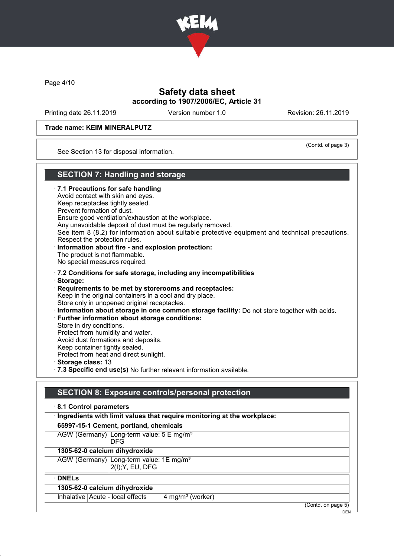

Page 4/10

## Safety data sheet according to 1907/2006/EC, Article 31

Printing date 26.11.2019 Version number 1.0 Revision: 26.11.2019

(Contd. of page 3)

#### Trade name: KEIM MINERALPUTZ

See Section 13 for disposal information.

### SECTION 7: Handling and storage

· 7.1 Precautions for safe handling Avoid contact with skin and eyes. Keep receptacles tightly sealed. Prevent formation of dust. Ensure good ventilation/exhaustion at the workplace. Any unavoidable deposit of dust must be regularly removed. See item 8 (8.2) for information about suitable protective equipment and technical precautions. Respect the protection rules. · Information about fire - and explosion protection: The product is not flammable. No special measures required. · 7.2 Conditions for safe storage, including any incompatibilities · Storage: · Requirements to be met by storerooms and receptacles: Keep in the original containers in a cool and dry place. Store only in unopened original receptacles. · Information about storage in one common storage facility: Do not store together with acids. · Further information about storage conditions: Store in dry conditions. Protect from humidity and water. Avoid dust formations and deposits. Keep container tightly sealed. Protect from heat and direct sunlight. · Storage class: 13 · 7.3 Specific end use(s) No further relevant information available.

## SECTION 8: Exposure controls/personal protection

| 8.1 Control parameters                                                    |                    |
|---------------------------------------------------------------------------|--------------------|
| · Ingredients with limit values that require monitoring at the workplace: |                    |
| 65997-15-1 Cement, portland, chemicals                                    |                    |
| AGW (Germany) Long-term value: 5 E mg/m <sup>3</sup><br><b>DFG</b>        |                    |
| 1305-62-0 calcium dihydroxide                                             |                    |
| AGW (Germany) Long-term value: 1E mg/m <sup>3</sup><br>2(I); Y, EU, DFG   |                    |
| $\cdot$ DNELs                                                             |                    |
| 1305-62-0 calcium dihydroxide                                             |                    |
| Inhalative   Acute - local effects<br>4 mg/m <sup>3</sup> (worker)        |                    |
|                                                                           | (Contd. on page 5) |

DEN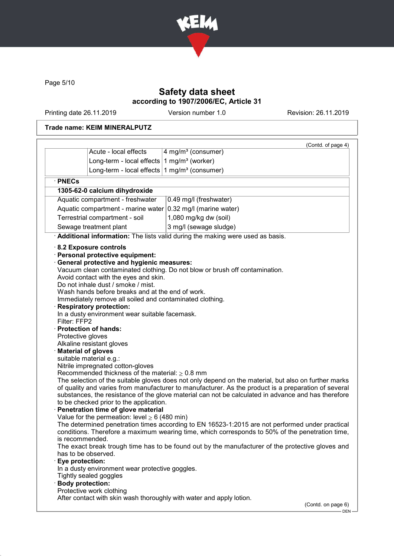

Page 5/10

# Safety data sheet according to 1907/2006/EC, Article 31

Printing date 26.11.2019 Version number 1.0 Revision: 26.11.2019

### Trade name: KEIM MINERALPUTZ

| Acute - local effects<br>Long-term - local effects $1$ mg/m <sup>3</sup> (worker)<br>Long-term - local effects $1$ mg/m <sup>3</sup> (consumer)<br>1305-62-0 calcium dihydroxide<br>Aquatic compartment - freshwater<br>0.49 mg/l (freshwater)<br>Aquatic compartment - marine water<br>0.32 mg/l (marine water)<br>Terrestrial compartment - soil<br>1,080 mg/kg dw (soil)<br>Sewage treatment plant<br>3 mg/l (sewage sludge)<br>Additional information: The lists valid during the making were used as basis.<br>8.2 Exposure controls<br>· Personal protective equipment:<br><b>General protective and hygienic measures:</b><br>Vacuum clean contaminated clothing. Do not blow or brush off contamination.<br>Avoid contact with the eyes and skin.<br>Do not inhale dust / smoke / mist.<br>Wash hands before breaks and at the end of work.<br>Immediately remove all soiled and contaminated clothing.<br><b>Respiratory protection:</b><br>In a dusty environment wear suitable facemask.<br>· Protection of hands:<br>Protective gloves<br>Alkaline resistant gloves<br><b>Material of gloves</b><br>suitable material e.g.:<br>Nitrile impregnated cotton-gloves<br>Recommended thickness of the material: $\geq 0.8$ mm<br>The selection of the suitable gloves does not only depend on the material, but also on further marks<br>of quality and varies from manufacturer to manufacturer. As the product is a preparation of several<br>substances, the resistance of the glove material can not be calculated in advance and has therefore<br>to be checked prior to the application.<br>Penetration time of glove material<br>Value for the permeation: level $\geq 6$ (480 min)<br>The determined penetration times according to EN 16523-1:2015 are not performed under practical<br>conditions. Therefore a maximum wearing time, which corresponds to 50% of the penetration time,<br>is recommended.<br>The exact break trough time has to be found out by the manufacturer of the protective gloves and<br>has to be observed.<br>Eye protection: |              | (Contd. of page 4)             |
|--------------------------------------------------------------------------------------------------------------------------------------------------------------------------------------------------------------------------------------------------------------------------------------------------------------------------------------------------------------------------------------------------------------------------------------------------------------------------------------------------------------------------------------------------------------------------------------------------------------------------------------------------------------------------------------------------------------------------------------------------------------------------------------------------------------------------------------------------------------------------------------------------------------------------------------------------------------------------------------------------------------------------------------------------------------------------------------------------------------------------------------------------------------------------------------------------------------------------------------------------------------------------------------------------------------------------------------------------------------------------------------------------------------------------------------------------------------------------------------------------------------------------------------------------------------------------------------------------------------------------------------------------------------------------------------------------------------------------------------------------------------------------------------------------------------------------------------------------------------------------------------------------------------------------------------------------------------------------------------------------------------------------------------------------------------------------|--------------|--------------------------------|
|                                                                                                                                                                                                                                                                                                                                                                                                                                                                                                                                                                                                                                                                                                                                                                                                                                                                                                                                                                                                                                                                                                                                                                                                                                                                                                                                                                                                                                                                                                                                                                                                                                                                                                                                                                                                                                                                                                                                                                                                                                                                          |              | 4 mg/m <sup>3</sup> (consumer) |
|                                                                                                                                                                                                                                                                                                                                                                                                                                                                                                                                                                                                                                                                                                                                                                                                                                                                                                                                                                                                                                                                                                                                                                                                                                                                                                                                                                                                                                                                                                                                                                                                                                                                                                                                                                                                                                                                                                                                                                                                                                                                          |              |                                |
|                                                                                                                                                                                                                                                                                                                                                                                                                                                                                                                                                                                                                                                                                                                                                                                                                                                                                                                                                                                                                                                                                                                                                                                                                                                                                                                                                                                                                                                                                                                                                                                                                                                                                                                                                                                                                                                                                                                                                                                                                                                                          |              |                                |
|                                                                                                                                                                                                                                                                                                                                                                                                                                                                                                                                                                                                                                                                                                                                                                                                                                                                                                                                                                                                                                                                                                                                                                                                                                                                                                                                                                                                                                                                                                                                                                                                                                                                                                                                                                                                                                                                                                                                                                                                                                                                          | · PNECs      |                                |
|                                                                                                                                                                                                                                                                                                                                                                                                                                                                                                                                                                                                                                                                                                                                                                                                                                                                                                                                                                                                                                                                                                                                                                                                                                                                                                                                                                                                                                                                                                                                                                                                                                                                                                                                                                                                                                                                                                                                                                                                                                                                          |              |                                |
|                                                                                                                                                                                                                                                                                                                                                                                                                                                                                                                                                                                                                                                                                                                                                                                                                                                                                                                                                                                                                                                                                                                                                                                                                                                                                                                                                                                                                                                                                                                                                                                                                                                                                                                                                                                                                                                                                                                                                                                                                                                                          |              |                                |
|                                                                                                                                                                                                                                                                                                                                                                                                                                                                                                                                                                                                                                                                                                                                                                                                                                                                                                                                                                                                                                                                                                                                                                                                                                                                                                                                                                                                                                                                                                                                                                                                                                                                                                                                                                                                                                                                                                                                                                                                                                                                          |              |                                |
|                                                                                                                                                                                                                                                                                                                                                                                                                                                                                                                                                                                                                                                                                                                                                                                                                                                                                                                                                                                                                                                                                                                                                                                                                                                                                                                                                                                                                                                                                                                                                                                                                                                                                                                                                                                                                                                                                                                                                                                                                                                                          |              |                                |
|                                                                                                                                                                                                                                                                                                                                                                                                                                                                                                                                                                                                                                                                                                                                                                                                                                                                                                                                                                                                                                                                                                                                                                                                                                                                                                                                                                                                                                                                                                                                                                                                                                                                                                                                                                                                                                                                                                                                                                                                                                                                          |              |                                |
|                                                                                                                                                                                                                                                                                                                                                                                                                                                                                                                                                                                                                                                                                                                                                                                                                                                                                                                                                                                                                                                                                                                                                                                                                                                                                                                                                                                                                                                                                                                                                                                                                                                                                                                                                                                                                                                                                                                                                                                                                                                                          |              |                                |
| In a dusty environment wear protective goggles.<br>Tightly sealed goggles<br><b>Body protection:</b><br>Protective work clothing                                                                                                                                                                                                                                                                                                                                                                                                                                                                                                                                                                                                                                                                                                                                                                                                                                                                                                                                                                                                                                                                                                                                                                                                                                                                                                                                                                                                                                                                                                                                                                                                                                                                                                                                                                                                                                                                                                                                         | Filter: FFP2 |                                |
|                                                                                                                                                                                                                                                                                                                                                                                                                                                                                                                                                                                                                                                                                                                                                                                                                                                                                                                                                                                                                                                                                                                                                                                                                                                                                                                                                                                                                                                                                                                                                                                                                                                                                                                                                                                                                                                                                                                                                                                                                                                                          |              | (Contd. on page 6)             |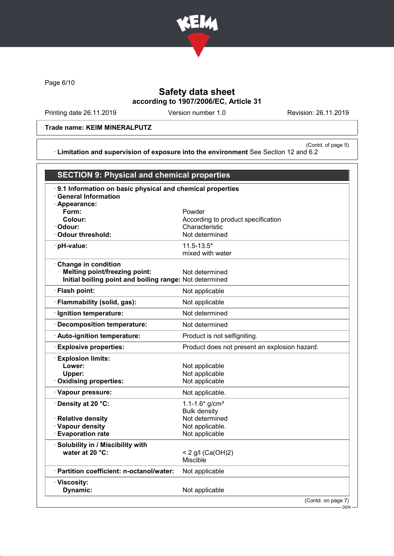

Page 6/10

# Safety data sheet according to 1907/2006/EC, Article 31

Printing date 26.11.2019 Version number 1.0 Revision: 26.11.2019

### Trade name: KEIM MINERALPUTZ

(Contd. of page 5) · Limitation and supervision of exposure into the environment See Section 12 and 6.2

| <b>SECTION 9: Physical and chemical properties</b>                                                                            |                                                                                                              |
|-------------------------------------------------------------------------------------------------------------------------------|--------------------------------------------------------------------------------------------------------------|
| 9.1 Information on basic physical and chemical properties<br>$\cdot$ General Information<br>Appearance:                       |                                                                                                              |
| Form:<br>Colour:<br>Odour:<br><b>Odour threshold:</b>                                                                         | Powder<br>According to product specification<br>Characteristic<br>Not determined                             |
| pH-value:                                                                                                                     | $11.5 - 13.5*$<br>mixed with water                                                                           |
| <b>Change in condition</b><br><b>Melting point/freezing point:</b><br>Initial boiling point and boiling range: Not determined | Not determined                                                                                               |
| · Flash point:                                                                                                                | Not applicable                                                                                               |
| · Flammability (solid, gas):                                                                                                  | Not applicable                                                                                               |
| · Ignition temperature:                                                                                                       | Not determined                                                                                               |
| · Decomposition temperature:                                                                                                  | Not determined                                                                                               |
| Auto-ignition temperature:                                                                                                    | Product is not selfigniting.                                                                                 |
| <b>Explosive properties:</b>                                                                                                  | Product does not present an explosion hazard.                                                                |
| <b>Explosion limits:</b><br>Lower:<br>Upper:<br>Oxidising properties:                                                         | Not applicable<br>Not applicable<br>Not applicable                                                           |
| · Vapour pressure:                                                                                                            | Not applicable.                                                                                              |
| · Density at 20 °C:<br>· Relative density<br>· Vapour density<br><b>Evaporation rate</b>                                      | $1.1 - 1.6*$ g/cm <sup>3</sup><br><b>Bulk density</b><br>Not determined<br>Not applicable.<br>Not applicable |
| Solubility in / Miscibility with<br>water at 20 °C:                                                                           | < 2 g/l $(Ca(OH)2)$<br>Miscible                                                                              |
| · Partition coefficient: n-octanol/water:                                                                                     | Not applicable                                                                                               |
| · Viscosity:<br>Dynamic:                                                                                                      | Not applicable                                                                                               |
|                                                                                                                               | (Contd. on page 7)<br>$-DEN-$                                                                                |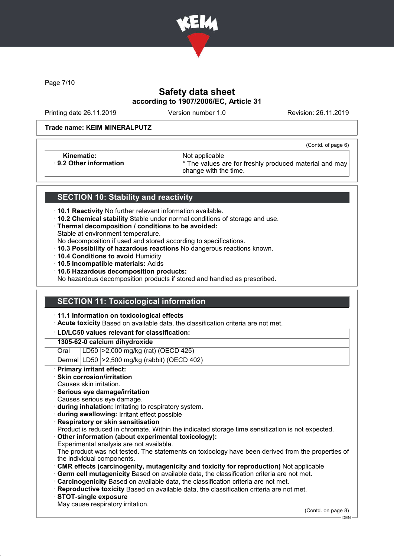

Page 7/10

# Safety data sheet according to 1907/2006/EC, Article 31

Printing date 26.11.2019 Version number 1.0 Revision: 26.11.2019

(Contd. of page 6)

#### Trade name: KEIM MINERALPUTZ

Kinematic: <br>B.2 Other information **Access 1986** Mot applicable **Research Access** 3

\* The values are for freshly produced material and may change with the time.

### SECTION 10: Stability and reactivity

- · 10.1 Reactivity No further relevant information available.
- · 10.2 Chemical stability Stable under normal conditions of storage and use.
- · Thermal decomposition / conditions to be avoided:
- Stable at environment temperature.
- No decomposition if used and stored according to specifications.
- · 10.3 Possibility of hazardous reactions No dangerous reactions known.
- · 10.4 Conditions to avoid Humidity
- · 10.5 Incompatible materials: Acids
- · 10.6 Hazardous decomposition products:

No hazardous decomposition products if stored and handled as prescribed.

### SECTION 11: Toxicological information

· 11.1 Information on toxicological effects

· Acute toxicity Based on available data, the classification criteria are not met.

#### · LD/LC50 values relevant for classification:

#### 1305-62-0 calcium dihydroxide

Oral LD50 >2,000 mg/kg (rat) (OECD 425)

Dermal LD50 >2,500 mg/kg (rabbit) (OECD 402)

Primary irritant effect:

### Skin corrosion/irritation

- Causes skin irritation.
- · Serious eye damage/irritation
- Causes serious eye damage.
- · during inhalation: Irritating to respiratory system.
- · during swallowing: Irritant effect possible
- **Respiratory or skin sensitisation**
- Product is reduced in chromate. Within the indicated storage time sensitization is not expected.
- Other information (about experimental toxicology):
- Experimental analysis are not available.

The product was not tested. The statements on toxicology have been derived from the properties of the individual components.

- · CMR effects (carcinogenity, mutagenicity and toxicity for reproduction) Not applicable
- Germ cell mutagenicity Based on available data, the classification criteria are not met.
- · Carcinogenicity Based on available data, the classification criteria are not met.
- · Reproductive toxicity Based on available data, the classification criteria are not met.
- · STOT-single exposure
- May cause respiratory irritation.

(Contd. on page 8)

DEN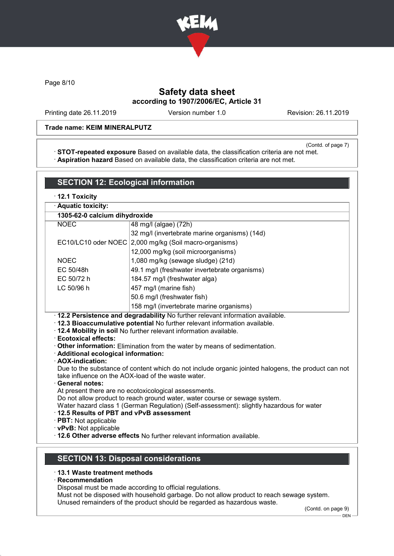

Page 8/10

# Safety data sheet according to 1907/2006/EC, Article 31

Printing date 26.11.2019 Version number 1.0 Revision: 26.11.2019

### Trade name: KEIM MINERALPUTZ

(Contd. of page 7)

· STOT-repeated exposure Based on available data, the classification criteria are not met. · Aspiration hazard Based on available data, the classification criteria are not met.

| 1305-62-0 calcium dihydroxide<br>48 mg/l (algae) (72h)<br>32 mg/l (invertebrate marine organisms) (14d)<br>EC10/LC10 oder NOEC 2,000 mg/kg (Soil macro-organisms)                                                                                                                                                                                                                                                                                                                                                                                                                                                            |  |  |
|------------------------------------------------------------------------------------------------------------------------------------------------------------------------------------------------------------------------------------------------------------------------------------------------------------------------------------------------------------------------------------------------------------------------------------------------------------------------------------------------------------------------------------------------------------------------------------------------------------------------------|--|--|
|                                                                                                                                                                                                                                                                                                                                                                                                                                                                                                                                                                                                                              |  |  |
|                                                                                                                                                                                                                                                                                                                                                                                                                                                                                                                                                                                                                              |  |  |
|                                                                                                                                                                                                                                                                                                                                                                                                                                                                                                                                                                                                                              |  |  |
|                                                                                                                                                                                                                                                                                                                                                                                                                                                                                                                                                                                                                              |  |  |
|                                                                                                                                                                                                                                                                                                                                                                                                                                                                                                                                                                                                                              |  |  |
| 12,000 mg/kg (soil microorganisms)                                                                                                                                                                                                                                                                                                                                                                                                                                                                                                                                                                                           |  |  |
| 1,080 mg/kg (sewage sludge) (21d)                                                                                                                                                                                                                                                                                                                                                                                                                                                                                                                                                                                            |  |  |
| 49.1 mg/l (freshwater invertebrate organisms)                                                                                                                                                                                                                                                                                                                                                                                                                                                                                                                                                                                |  |  |
| 184.57 mg/l (freshwater alga)                                                                                                                                                                                                                                                                                                                                                                                                                                                                                                                                                                                                |  |  |
| 457 mg/l (marine fish)                                                                                                                                                                                                                                                                                                                                                                                                                                                                                                                                                                                                       |  |  |
| 50.6 mg/l (freshwater fish)                                                                                                                                                                                                                                                                                                                                                                                                                                                                                                                                                                                                  |  |  |
| 158 mg/l (invertebrate marine organisms)                                                                                                                                                                                                                                                                                                                                                                                                                                                                                                                                                                                     |  |  |
| Other information: Elimination from the water by means of sedimentation.<br>· Additional ecological information:<br>· AOX-indication:<br>Due to the substance of content which do not include organic jointed halogens, the product can not<br>take influence on the AOX-load of the waste water.<br>· General notes:<br>At present there are no ecotoxicological assessments.<br>Do not allow product to reach ground water, water course or sewage system.<br>Water hazard class 1 (German Regulation) (Self-assessment): slightly hazardous for water<br>12.5 Results of PBT and vPvB assessment<br>· PBT: Not applicable |  |  |
| . 12.6 Other adverse effects No further relevant information available.<br><b>SECTION 13: Disposal considerations</b>                                                                                                                                                                                                                                                                                                                                                                                                                                                                                                        |  |  |
| · 12.2 Persistence and degradability No further relevant information available.<br>· 12.3 Bioaccumulative potential No further relevant information available.<br>. 12.4 Mobility in soil No further relevant information available.                                                                                                                                                                                                                                                                                                                                                                                         |  |  |

Disposal must be made according to official regulations.

Must not be disposed with household garbage. Do not allow product to reach sewage system.

Unused remainders of the product should be regarded as hazardous waste.

(Contd. on page 9)

– DEN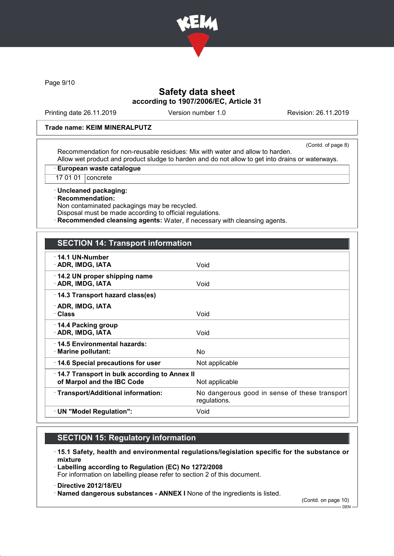

Page 9/10

# Safety data sheet according to 1907/2006/EC, Article 31

Printing date 26.11.2019 Version number 1.0 Revision: 26.11.2019

#### Trade name: KEIM MINERALPUTZ

(Contd. of page 8)

Recommendation for non-reusable residues: Mix with water and allow to harden. Allow wet product and product sludge to harden and do not allow to get into drains or waterways.

· European waste catalogue

17 01 01 | concrete

· Uncleaned packaging:

· Recommendation:

Non contaminated packagings may be recycled.

Disposal must be made according to official regulations.

· Recommended cleansing agents: Water, if necessary with cleansing agents.

| <b>SECTION 14: Transport information</b>                                   |                                                               |
|----------------------------------------------------------------------------|---------------------------------------------------------------|
| $\cdot$ 14.1 UN-Number<br>· ADR, IMDG, IATA                                | Void                                                          |
| 14.2 UN proper shipping name<br>· ADR, IMDG, IATA                          | Void                                                          |
| 14.3 Transport hazard class(es)                                            |                                                               |
| · ADR, IMDG, IATA<br>· Class                                               | Void                                                          |
| 14.4 Packing group<br>· ADR, IMDG, IATA                                    | Void                                                          |
| 14.5 Environmental hazards:<br>· Marine pollutant:                         | No.                                                           |
| 14.6 Special precautions for user                                          | Not applicable                                                |
| 14.7 Transport in bulk according to Annex II<br>of Marpol and the IBC Code | Not applicable                                                |
| · Transport/Additional information:                                        | No dangerous good in sense of these transport<br>regulations. |
| · UN "Model Regulation":                                                   | Void                                                          |

# SECTION 15: Regulatory information

- · 15.1 Safety, health and environmental regulations/legislation specific for the substance or mixture
- · Labelling according to Regulation (EC) No 1272/2008

For information on labelling please refer to section 2 of this document.

#### · Directive 2012/18/EU

· Named dangerous substances - ANNEX I None of the ingredients is listed.

(Contd. on page 10) DEN